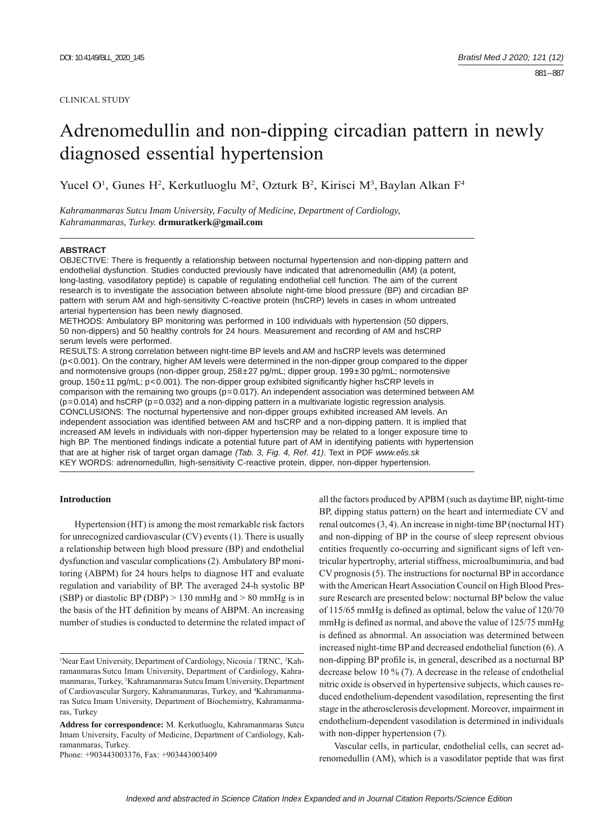#### CLINICAL STUDY

# Adrenomedullin and non-dipping circadian pattern in newly diagnosed essential hypertension

Yucel O<sup>1</sup>, Gunes H<sup>2</sup>, Kerkutluoglu M<sup>2</sup>, Ozturk B<sup>2</sup>, Kirisci M<sup>3</sup>, Baylan Alkan F<sup>4</sup>

*Kahramanmaras Sutcu Imam University, Faculty of Medicine, Department of Cardiology, Kahramanmaras, Turkey.* **drmuratkerk@gmail.com**

#### **ABSTRACT**

OBJECTIVE: There is frequently a relationship between nocturnal hypertension and non-dipping pattern and endothelial dysfunction. Studies conducted previously have indicated that adrenomedullin (AM) (a potent, long-lasting, vasodilatory peptide) is capable of regulating endothelial cell function. The aim of the current research is to investigate the association between absolute night-time blood pressure (BP) and circadian BP pattern with serum AM and high-sensitivity C-reactive protein (hsCRP) levels in cases in whom untreated arterial hypertension has been newly diagnosed.

METHODS: Ambulatory BP monitoring was performed in 100 individuals with hypertension (50 dippers, 50 non-dippers) and 50 healthy controls for 24 hours. Measurement and recording of AM and hsCRP serum levels were performed.

RESULTS: A strong correlation between night-time BP levels and AM and hsCRP levels was determined (p<0.001). On the contrary, higher AM levels were determined in the non-dipper group compared to the dipper and normotensive groups (non-dipper group, 258±27 pg/mL; dipper group, 199±30 pg/mL; normotensive group,  $150\pm11$  pg/mL;  $p<0.001$ ). The non-dipper group exhibited significantly higher hsCRP levels in comparison with the remaining two groups ( $p=0.017$ ). An independent association was determined between AM  $(p=0.014)$  and hsCRP  $(p=0.032)$  and a non-dipping pattern in a multivariate logistic regression analysis. CONCLUSIONS: The nocturnal hypertensive and non-dipper groups exhibited increased AM levels. An independent association was identified between AM and hsCRP and a non-dipping pattern. It is implied that increased AM levels in individuals with non-dipper hypertension may be related to a longer exposure time to high BP. The mentioned findings indicate a potential future part of AM in identifying patients with hypertension that are at higher risk of target organ damage *(Tab. 3, Fig. 4, Ref. 41)*. Text in PDF *www.elis.sk* KEY WORDS: adrenomedullin, high-sensitivity C-reactive protein, dipper, non-dipper hypertension.

### **Introduction**

Hypertension (HT) is among the most remarkable risk factors for unrecognized cardiovascular (CV) events (1). There is usually a relationship between high blood pressure (BP) and endothelial dysfunction and vascular complications (2). Ambulatory BP monitoring (ABPM) for 24 hours helps to diagnose HT and evaluate regulation and variability of BP. The averaged 24-h systolic BP (SBP) or diastolic BP (DBP)  $> 130$  mmHg and  $> 80$  mmHg is in the basis of the HT definition by means of ABPM. An increasing number of studies is conducted to determine the related impact of

Phone: +903443003376, Fax: +903443003409

all the factors produced by APBM (such as daytime BP, night-time BP, dipping status pattern) on the heart and intermediate CV and renal outcomes (3, 4). An increase in night-time BP (nocturnal HT) and non-dipping of BP in the course of sleep represent obvious entities frequently co-occurring and significant signs of left ventricular hypertrophy, arterial stiffness, microalbuminuria, and bad CV prognosis (5). The instructions for nocturnal BP in accordance with the American Heart Association Council on High Blood Pressure Research are presented below: nocturnal BP below the value of 115/65 mmHg is defined as optimal, below the value of 120/70 mmHg is defined as normal, and above the value of 125/75 mmHg is defined as abnormal. An association was determined between increased night-time BP and decreased endothelial function (6). A non-dipping BP profile is, in general, described as a nocturnal BP decrease below 10 % (7). A decrease in the release of endothelial nitric oxide is observed in hypertensive subjects, which causes reduced endothelium-dependent vaso dilation, representing the first stage in the atherosclerosis development. Moreover, impairment in endothelium-dependent vasodilation is determined in individuals with non-dipper hypertension (7).

Vascular cells, in particular, endothelial cells, can secret adrenomedullin (AM), which is a vasodilator peptide that was first

<sup>&</sup>lt;sup>1</sup>Near East University, Department of Cardiology, Nicosia / TRNC, <sup>2</sup>Kahramanmaras Sutcu Imam University, Department of Cardiology, Kahramanmaras, Turkey, 3 Kahramanmaras Sutcu Imam University, Department of Cardiovascular Surgery, Kahramanmaras, Turkey, and 4 Kahramanmaras Sutcu Imam University, Department of Biochemistry, Kahramanmaras, Turkey

**Address for correspondence:** M. Kerkutluoglu, Kahramanmaras Sutcu Imam University, Faculty of Medicine, Department of Cardiology, Kahramanmaras, Turkey.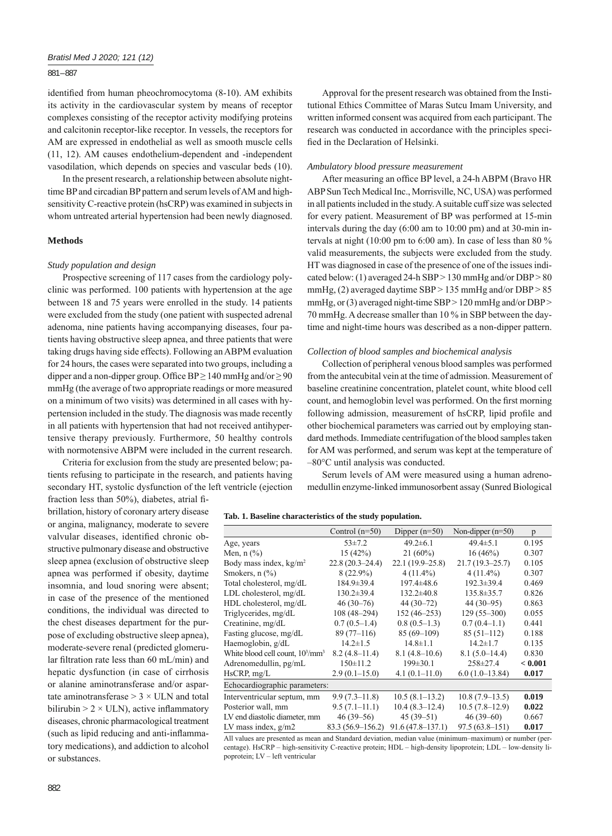## 881 – 887

identified from human pheochromocytoma (8-10). AM exhibits its activity in the cardiovascular system by means of receptor complexes consisting of the receptor activity modifying proteins and calcitonin receptor-like receptor. In vessels, the receptors for AM are expressed in endothelial as well as smooth muscle cells (11, 12). AM causes endothelium-dependent and -independent vasodilation, which depends on species and vascular beds (10).

In the present research, a relationship between absolute nighttime BP and circadian BP pattern and serum levels of AM and highsensitivity C-reactive protein (hsCRP) was examined in subjects in whom untreated arterial hypertension had been newly diagnosed.

#### **Methods**

# *Study population and design*

Prospective screening of 117 cases from the cardiology polyclinic was performed. 100 patients with hypertension at the age between 18 and 75 years were enrolled in the study. 14 patients were excluded from the study (one patient with suspected adrenal adenoma, nine patients having accompanying diseases, four patients having obstructive sleep apnea, and three patients that were taking drugs having side effects). Following an ABPM evaluation for 24 hours, the cases were separated into two groups, including a dipper and a non-dipper group. Office  $BP \ge 140$  mmHg and/or  $\ge 90$ mmHg (the average of two appropriate readings or more measured on a minimum of two visits) was determined in all cases with hypertension included in the study. The diagnosis was made recently in all patients with hypertension that had not received antihypertensive therapy previously. Furthermore, 50 healthy controls with normotensive ABPM were included in the current research.

Criteria for exclusion from the study are presented below; patients refusing to participate in the research, and patients having secondary HT, systolic dysfunction of the left ventricle (ejection

fraction less than 50%), diabetes, atrial fibrillation, history of coronary artery disease or angina, malignancy, moderate to severe valvular diseases, identified chronic obstructive pulmonary disease and obstructive sleep apnea (exclusion of obstructive sleep apnea was performed if obesity, daytime insomnia, and loud snoring were absent; in case of the presence of the mentioned conditions, the individual was directed to the chest diseases department for the purpose of excluding obstructive sleep apnea), moderate-severe renal (predicted glomerular filtration rate less than  $60$  mL/min) and hepatic dysfunction (in case of cirrhosis or alanine aminotransferase and/or aspartate aminotransferase  $> 3 \times$  ULN and total bilirubin  $> 2 \times$  ULN), active inflammatory diseases, chronic pharmacological treatment (such as lipid reducing and anti-inflammatory medications), and addiction to alcohol or substances.

Approval for the present research was obtained from the Institutional Ethics Committee of Maras Sutcu Imam University, and written informed consent was acquired from each participant. The research was conducted in accordance with the principles specified in the Declaration of Helsinki.

#### *Ambulatory blood pressure measurement*

After measuring an office BP level, a 24-h ABPM (Bravo HR ABP Sun Tech Medical Inc., Morrisville, NC, USA) was performed in all patients included in the study. A suitable cuff size was selected for every patient. Measurement of BP was performed at 15-min intervals during the day (6:00 am to 10:00 pm) and at 30-min intervals at night (10:00 pm to 6:00 am). In case of less than 80 % valid measurements, the subjects were excluded from the study. HT was diagnosed in case of the presence of one of the issues indicated below: (1) averaged 24-h SBP > 130 mmHg and/or DBP > 80 mmHg, (2) averaged daytime SBP > 135 mmHg and/or DBP > 85 mmHg, or (3) averaged night-time SBP > 120 mmHg and/or DBP > 70 mmHg. A decrease smaller than 10 % in SBP between the daytime and night-time hours was described as a non-dipper pattern.

#### *Collection of blood samples and biochemical analysis*

Collection of peripheral venous blood samples was performed from the antecubital vein at the time of admission. Measurement of baseline creatinine concentration, platelet count, white blood cell count, and hemoglobin level was performed. On the first morning following admission, measurement of hsCRP, lipid profile and other biochemical parameters was carried out by employing standard methods. Immediate centrifugation of the blood samples taken for AM was performed, and serum was kept at the temperature of –80°C until analysis was conducted.

Serum levels of AM were measured using a human adrenomedullin enzyme-linked immunosorbent assay (Sunred Biological

|  |  |  | Tab. 1. Baseline characteristics of the study population. |  |  |  |  |
|--|--|--|-----------------------------------------------------------|--|--|--|--|
|--|--|--|-----------------------------------------------------------|--|--|--|--|

|                                            | Control $(n=50)$    | Dipper $(n=50)$      | Non-dipper $(n=50)$ | p       |  |  |
|--------------------------------------------|---------------------|----------------------|---------------------|---------|--|--|
| Age, years                                 | $53\pm7.2$          | $49.2 \pm 6.1$       | $49.4 \pm 5.1$      | 0.195   |  |  |
| Men, $n$ $\left(\frac{9}{6}\right)$        | 15(42%)             | $21(60\%)$           | 16(46%)             | 0.307   |  |  |
| Body mass index, kg/m <sup>2</sup>         | $22.8(20.3 - 24.4)$ | $22.1(19.9-25.8)$    | $21.7(19.3 - 25.7)$ | 0.105   |  |  |
| Smokers, $n$ $\left(\frac{9}{6}\right)$    | $8(22.9\%)$         | $4(11.4\%)$          | $4(11.4\%)$         | 0.307   |  |  |
| Total cholesterol, mg/dL                   | 184.9±39.4          | 197.4±48.6           | 192.3±39.4          | 0.469   |  |  |
| LDL cholesterol, mg/dL                     | $130.2 \pm 39.4$    | $132.2 \pm 40.8$     | $135.8 \pm 35.7$    | 0.826   |  |  |
| HDL cholesterol, mg/dL                     | $46(30-76)$         | $44(30-72)$          | $44(30-95)$         | 0.863   |  |  |
| Triglycerides, mg/dL                       | 108 (48–294)        | $152(46-253)$        | $129(55 - 300)$     | 0.055   |  |  |
| Creatinine, mg/dL                          | $0.7(0.5-1.4)$      | $0.8(0.5-1.3)$       | $0.7(0.4-1.1)$      | 0.441   |  |  |
| Fasting glucose, mg/dL                     | $89(77-116)$        | $85(69-109)$         | $85(51-112)$        | 0.188   |  |  |
| Haemoglobin, g/dL                          | $14.2 \pm 1.5$      | $14.8 \pm 1.1$       | $14.2 \pm 1.7$      | 0.135   |  |  |
| White blood cell count, $10^3/\text{mm}^3$ | $8.2(4.8-11.4)$     | $8.1(4.8-10.6)$      | $8.1(5.0-14.4)$     | 0.830   |  |  |
| Adrenomedullin, pg/mL                      | $150 \pm 11.2$      | $199 \pm 30.1$       | 258±27.4            | < 0.001 |  |  |
| HsCRP, mg/L                                | $2.9(0.1-15.0)$     | $4.1(0.1-11.0)$      | $6.0(1.0-13.84)$    | 0.017   |  |  |
| Echocardiographic parameters:              |                     |                      |                     |         |  |  |
| Interventricular septum, mm                | $9.9(7.3-11.8)$     | $10.5(8.1-13.2)$     | $10.8(7.9-13.5)$    | 0.019   |  |  |
| Posterior wall, mm                         | $9.5(7.1-11.1)$     | $10.4(8.3-12.4)$     | $10.5(7.8-12.9)$    | 0.022   |  |  |
| LV end diastolic diameter, mm              | $46(39-56)$         | $45(39-51)$          | $46(39-60)$         | 0.667   |  |  |
| LV mass index, $g/m2$                      | 83.3 (56.9–156.2)   | $91.6(47.8 - 137.1)$ | $97.5(63.8 - 151)$  | 0.017   |  |  |

All values are presented as mean and Standard deviation, median value (minimum–maximum) or number (percentage). HsCRP – high-sensitivity C-reactive protein; HDL – high-density lipoprotein; LDL – low-density lipoprotein; LV – left ventricular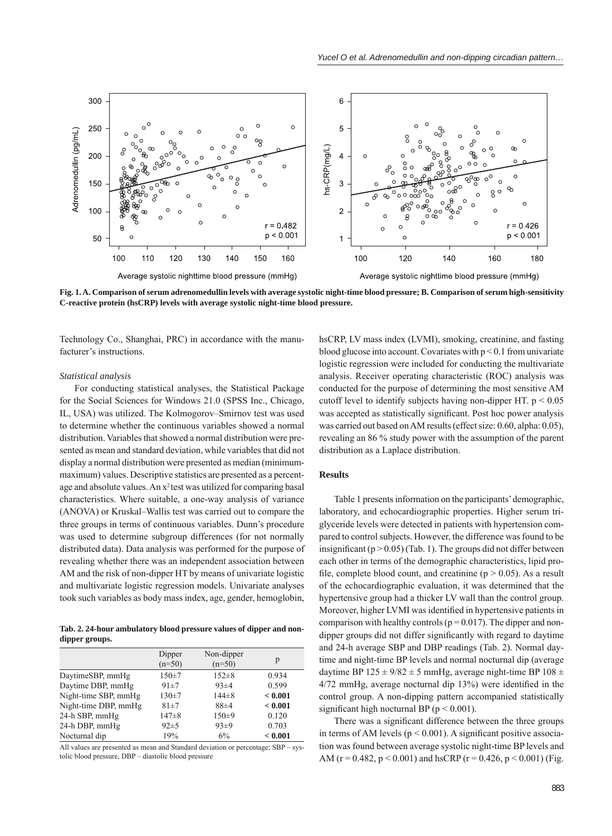

**Fig. 1. A. Comparison of serum adrenomedullin levels with average systolic night-time blood pressure; B. Comparison of serum high -sensitivity C-reactive protein (hsCRP) levels with average systolic night-time blood pressure.**

Technology Co., Shanghai, PRC) in accordance with the manufacturer's instructions.

#### *Statistical analysis*

For conducting statistical analyses, the Statistical Package for the Social Sciences for Windows 21.0 (SPSS Inc., Chicago, IL, USA) was utilized. The Kolmogorov–Smirnov test was used to determine whether the continuous variables showed a normal distribution. Variables that showed a normal distribution were presented as mean and standard deviation, while variables that did not display a normal distribution were presented as median (minimummaximum) values. Descriptive statistics are presented as a percentage and absolute values. An  $x^2$  test was utilized for comparing basal characteristics. Where suitable, a one-way analysis of variance (ANOVA) or Kruskal–Wallis test was carried out to compare the three groups in terms of continuous variables. Dunn's procedure was used to determine subgroup differences (for not normally distributed data). Data analysis was performed for the purpose of revealing whether there was an independent association between AM and the risk of non-dipper HT by means of univariate logistic and multivariate logistic regression models. Univariate analyses took such variables as body mass index, age, gender, hemoglobin,

**Tab. 2. 24-hour ambulatory blood pressure values of dipper and nondipper groups.**

|                      | Dipper<br>$(n=50)$ | Non-dipper<br>$(n=50)$ | р       |
|----------------------|--------------------|------------------------|---------|
| DaytimeSBP, mmHg     | $150 \pm 7$        | $152 \pm 8$            | 0.934   |
| Daytime DBP, mmHg    | $91 \pm 7$         | $93 \pm 4$             | 0.599   |
| Night-time SBP, mmHg | $130 \pm 7$        | $144\pm8$              | < 0.001 |
| Night-time DBP, mmHg | $81 + 7$           | $88 + 4$               | < 0.001 |
| 24-h SBP, mmHg       | $147 + 8$          | $150+9$                | 0.120   |
| 24-h DBP, mmHg       | $92 \pm 5$         | $93\pm9$               | 0.703   |
| Nocturnal dip        | 19%                | 6%                     | < 0.001 |

All values are presented as mean and Standard deviation or percentage; SBP – systolic blood pressure, DBP – diastolic blood pressure

hsCRP, LV mass index (LVMI), smoking, creatinine, and fasting blood glucose into account. Covariates with  $p < 0.1$  from univariate logistic regression were included for conducting the multivariate analysis. Receiver operating characteristic (ROC) analysis was conducted for the purpose of determining the most sensitive AM cutoff level to identify subjects having non-dipper HT.  $p < 0.05$ was accepted as statistically significant. Post hoc power analysis was carried out based on AM results (effect size: 0.60, alpha: 0.05), revealing an 86 % study power with the assumption of the parent distribution as a Laplace distribution.

# **Results**

Table 1 presents information on the participants' demographic, laboratory, and echocardiographic properties. Higher serum triglyceride levels were detected in patients with hypertension compared to control subjects. However, the difference was found to be insignificant ( $p > 0.05$ ) (Tab. 1). The groups did not differ between each other in terms of the demographic characteristics, lipid profile, complete blood count, and creatinine ( $p > 0.05$ ). As a result of the echocardiographic evaluation, it was determined that the hypertensive group had a thicker LV wall than the control group. Moreover, higher LVMI was identified in hypertensive patients in comparison with healthy controls ( $p = 0.017$ ). The dipper and nondipper groups did not differ significantly with regard to daytime and 24-h average SBP and DBP readings (Tab. 2). Normal daytime and night-time BP levels and normal nocturnal dip (average daytime BP  $125 \pm 9/82 \pm 5$  mmHg, average night-time BP  $108 \pm 10$  $4/72$  mmHg, average nocturnal dip  $13\%$ ) were identified in the control group. A non-dipping pattern accompanied statistically significant high nocturnal BP ( $p < 0.001$ ).

There was a significant difference between the three groups in terms of AM levels ( $p < 0.001$ ). A significant positive association was found between average systolic night-time BP levels and AM ( $r = 0.482$ ,  $p \le 0.001$ ) and hsCRP ( $r = 0.426$ ,  $p \le 0.001$ ) (Fig.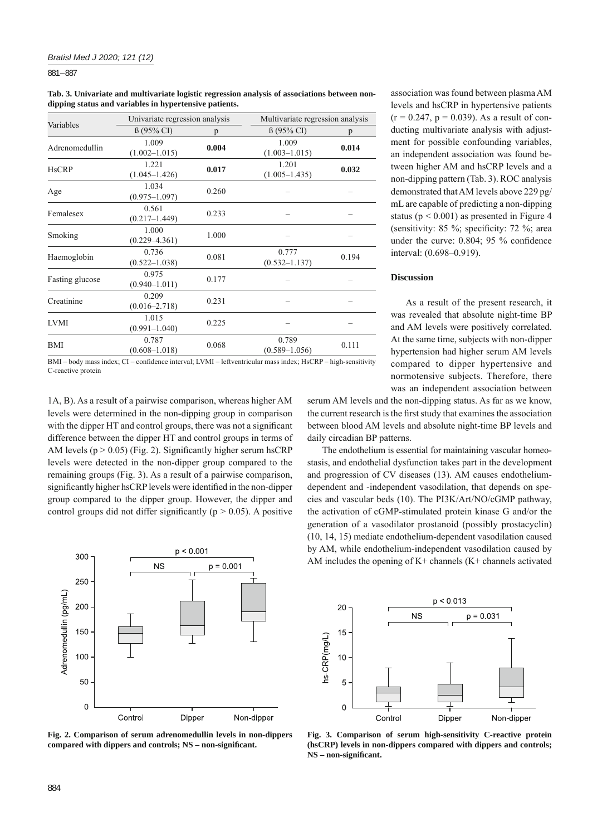881 – 887

**Tab. 3. Univariate and multivariate logistic regression analysis of associations between nondipping status and variables in hypertensive patients.**

|                 | Univariate regression analysis |       | Multivariate regression analysis |       |  |
|-----------------|--------------------------------|-------|----------------------------------|-------|--|
| Variables       | $\beta$ (95% CI)               | p     | $\beta$ (95% CI)                 | p     |  |
| Adrenomedullin  | 1.009<br>$(1.002 - 1.015)$     | 0.004 | 1.009<br>$(1.003 - 1.015)$       | 0.014 |  |
| <b>HsCRP</b>    | 1.221<br>$(1.045 - 1.426)$     | 0.017 | 1.201<br>$(1.005 - 1.435)$       | 0.032 |  |
| Age             | 1.034<br>$(0.975 - 1.097)$     | 0.260 |                                  |       |  |
| Femalesex       | 0.561<br>$(0.217 - 1.449)$     | 0.233 |                                  |       |  |
| Smoking         | 1.000<br>$(0.229 - 4.361)$     | 1.000 |                                  |       |  |
| Haemoglobin     | 0.736<br>$(0.522 - 1.038)$     | 0.081 | 0.777<br>$(0.532 - 1.137)$       | 0.194 |  |
| Fasting glucose | 0.975<br>$(0.940 - 1.011)$     | 0.177 |                                  |       |  |
| Creatinine      | 0.209<br>$(0.016 - 2.718)$     | 0.231 |                                  |       |  |
| <b>LVMI</b>     | 1.015<br>$(0.991 - 1.040)$     | 0.225 |                                  |       |  |
| BMI             | 0.787<br>$(0.608 - 1.018)$     | 0.068 | 0.789<br>$(0.589 - 1.056)$       | 0.111 |  |

BMI – body mass index; CI – confidence interval; LVMI – leftventricular mass index; HsCRP – high-sensitivity C-reactive protein

1A, B). As a result of a pairwise comparison, whereas higher AM levels were determined in the non-dipping group in comparison with the dipper HT and control groups, there was not a significant difference between the dipper HT and control groups in terms of AM levels ( $p > 0.05$ ) (Fig. 2). Significantly higher serum hsCRP levels were detected in the non-dipper group compared to the remaining groups (Fig. 3). As a result of a pairwise comparison, significantly higher hsCRP levels were identified in the non-dipper group compared to the dipper group. However, the dipper and control groups did not differ significantly ( $p > 0.05$ ). A positive



**Fig. 2. Comparison of serum adrenomedullin levels in non-dippers compared with dippers and controls; NS – non-signifi cant.**

association was found between plasma AM levels and hsCRP in hypertensive patients  $(r = 0.247, p = 0.039)$ . As a result of conducting multivariate analysis with adjustment for possible confounding variables, an independent association was found between higher AM and hsCRP levels and a non-dipping pattern (Tab. 3). ROC analysis demonstrated that AM levels above 229 pg/ mL are capable of predicting a non-dipping status ( $p < 0.001$ ) as presented in Figure 4 (sensitivity:  $85\%$ ; specificity:  $72\%$ ; area under the curve:  $0.804$ ;  $95\%$  confidence interval: (0.698–0.919).

#### **Discussion**

As a result of the present research, it was revealed that absolute night-time BP and AM levels were positively correlated. At the same time, subjects with non-dipper hypertension had higher serum AM levels compared to dipper hypertensive and normotensive subjects. Therefore, there was an independent association between

serum AM levels and the non-dipping status. As far as we know, the current research is the first study that examines the association between blood AM levels and absolute night-time BP levels and daily circadian BP patterns.

The endothelium is essential for maintaining vascular homeostasis, and endothelial dysfunction takes part in the development and progression of CV diseases (13). AM causes endotheliumdependent and -independent vasodilation, that depends on species and vascular beds (10). The PI3K/Art/NO/cGMP pathway, the activation of cGMP-stimulated protein kinase G and/or the generation of a vasodilator prostanoid (possibly prostacyclin) (10, 14, 15) mediate endothelium-dependent vasodilation caused by AM, while endothelium-independent vasodilation caused by AM includes the opening of  $K<sup>+</sup>$  channels ( $K<sup>+</sup>$  channels activated



Fig. 3. Comparison of serum high-sensitivity C-reactive protein **(hsCRP) levels in non-dippers compared with dippers and controls; NS – non-signifi cant.**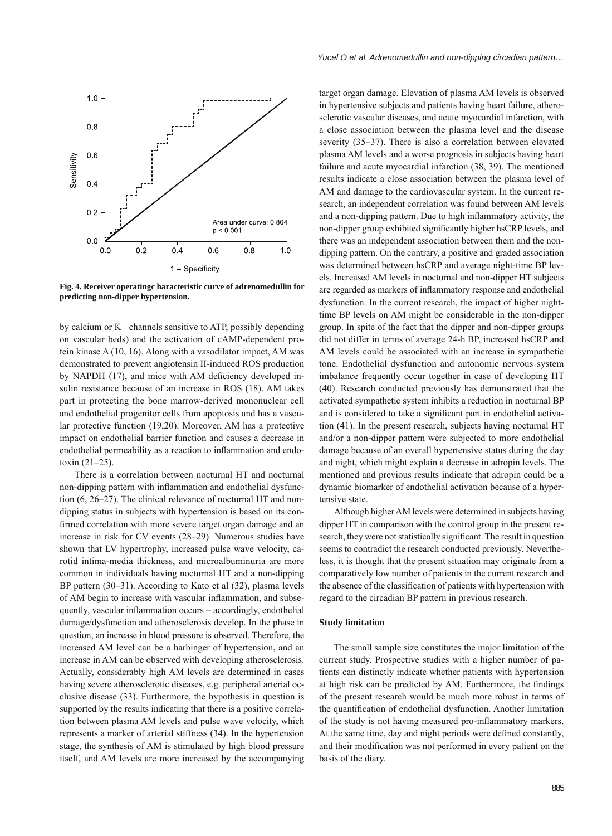

**Fig. 4. Receiver operatingc haracteristic curve of adrenomedullin for predicting non-dipper hypertension.**

by calcium or K+ channels sensitive to ATP, possibly depending on vascular beds) and the activation of cAMP-dependent protein kinase A (10, 16). Along with a vasodilator impact, AM was demonstrated to prevent angiotensin II-induced ROS production by NAPDH (17), and mice with AM deficiency developed insulin resistance because of an increase in ROS (18). AM takes part in protecting the bone marrow-derived mononuclear cell and endothelial progenitor cells from apoptosis and has a vascular protective function (19,20). Moreover, AM has a protective impact on endothelial barrier function and causes a decrease in endothelial permeability as a reaction to inflammation and endotoxin (21–25).

There is a correlation between nocturnal HT and nocturnal non-dipping pattern with inflammation and endothelial dysfunction (6, 26–27). The clinical relevance of nocturnal HT and nondipping status in subjects with hypertension is based on its confirmed correlation with more severe target organ damage and an increase in risk for CV events (28–29). Numerous studies have shown that LV hypertrophy, increased pulse wave velocity, carotid intima-media thickness, and microalbuminuria are more common in individuals having nocturnal HT and a non-dipping BP pattern (30–31). According to Kato et al (32), plasma levels of AM begin to increase with vascular inflammation, and subsequently, vascular inflammation occurs – accordingly, endothelial damage/dysfunction and atherosclerosis develop. In the phase in question, an increase in blood pressure is observed. Therefore, the increased AM level can be a harbinger of hypertension, and an increase in AM can be observed with developing atherosclerosis. Actually, considerably high AM levels are determined in cases having severe atherosclerotic diseases, e.g. peripheral arterial occlusive disease (33). Furthermore, the hypothesis in question is supported by the results indicating that there is a positive correlation between plasma AM levels and pulse wave velocity, which represents a marker of arterial stiffness (34). In the hypertension stage, the synthesis of AM is stimulated by high blood pressure itself, and AM levels are more increased by the accompanying

target organ damage. Elevation of plasma AM levels is observed in hypertensive subjects and patients having heart failure, atherosclerotic vascular diseases, and acute myocardial infarction, with a close association between the plasma level and the disease severity (35–37). There is also a correlation between elevated plasma AM levels and a worse prognosis in subjects having heart failure and acute myocardial infarction (38, 39). The mentioned results indicate a close association between the plasma level of AM and damage to the cardiovascular system. In the current research, an independent correlation was found between AM levels and a non-dipping pattern. Due to high inflammatory activity, the non-dipper group exhibited significantly higher hsCRP levels, and there was an independent association between them and the nondipping pattern. On the contrary, a positive and graded association was determined between hsCRP and average night-time BP levels. Increased AM levels in nocturnal and non-dipper HT subjects are regarded as markers of inflammatory response and endothelial dysfunction. In the current research, the impact of higher nighttime BP levels on AM might be considerable in the non-dipper group. In spite of the fact that the dipper and non-dipper groups did not differ in terms of average 24-h BP, increased hsCRP and AM levels could be associated with an increase in sympathetic tone. Endothelial dysfunction and autonomic nervous system imbalance frequently occur together in case of developing HT (40). Research conducted previously has demonstrated that the activated sympathetic system inhibits a reduction in nocturnal BP and is considered to take a significant part in endothelial activation (41). In the present research, subjects having nocturnal HT and/or a non-dipper pattern were subjected to more endothelial damage because of an overall hypertensive status during the day and night, which might explain a decrease in adropin levels. The mentioned and previous results indicate that adropin could be a dynamic biomarker of endothelial activation because of a hypertensive state.

Although higher AM levels were determined in subjects having dipper HT in comparison with the control group in the present research, they were not statistically significant. The result in question seems to contradict the research conducted previously. Nevertheless, it is thought that the present situation may originate from a comparatively low number of patients in the current research and the absence of the classification of patients with hypertension with regard to the circadian BP pattern in previous research.

#### **Study limitation**

The small sample size constitutes the major limitation of the current study. Prospective studies with a higher number of patients can distinctly indicate whether patients with hypertension at high risk can be predicted by AM. Furthermore, the findings of the present research would be much more robust in terms of the quantification of endothelial dysfunction. Another limitation of the study is not having measured pro-inflammatory markers. At the same time, day and night periods were defined constantly, and their modification was not performed in every patient on the basis of the diary.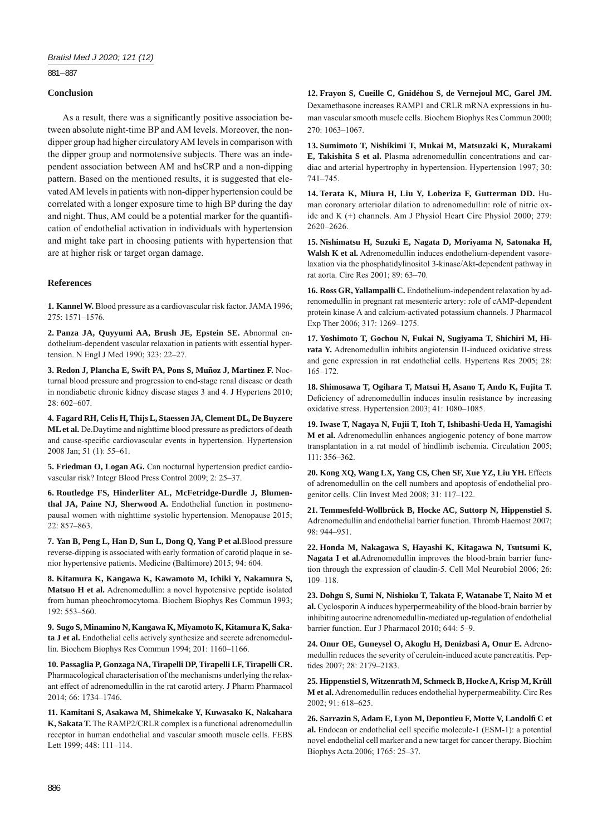881 – 887

# **Conclusion**

As a result, there was a significantly positive association between absolute night-time BP and AM levels. Moreover, the nondipper group had higher circulatory AM levels in comparison with the dipper group and normotensive subjects. There was an independent association between AM and hsCRP and a non-dipping pattern. Based on the mentioned results, it is suggested that elevated AM levels in patients with non-dipper hypertension could be correlated with a longer exposure time to high BP during the day and night. Thus, AM could be a potential marker for the quantification of endothelial activation in individuals with hypertension and might take part in choosing patients with hypertension that are at higher risk or target organ damage.

## **References**

**1. Kannel W.** Blood pressure as a cardiovascular risk factor. JAMA 1996; 275: 1571–1576.

**2. Panza JA, Quyyumi AA, Brush JE, Epstein SE.** Abnormal endothelium-dependent vascular relaxation in patients with essential hypertension. N Engl J Med 1990; 323: 22–27.

**3. Redon J, Plancha E, Swift PA, Pons S, Muñoz J, Martinez F.** Nocturnal blood pressure and progression to end-stage renal disease or death in nondiabetic chronic kidney disease stages 3 and 4. J Hypertens 2010; 28: 602–607.

**4. Fagard RH, Celis H, Thijs L, Staessen JA, Clement DL, De Buyzere ML et al.** De.Daytime and nighttime blood pressure as predictors of death and cause-specific cardiovascular events in hypertension. Hypertension 2008 Jan; 51 (1): 55–61.

**5. Friedman O, Logan AG.** Can nocturnal hypertension predict cardiovascular risk? Integr Blood Press Control 2009; 2: 25–37.

**6. Routledge FS, Hinderliter AL, McFetridge-Durdle J, Blumenthal JA, Paine NJ, Sherwood A.** Endothelial function in postmenopausal women with nighttime systolic hypertension. Menopause 2015; 22: 857–863.

**7. Yan B, Peng L, Han D, Sun L, Dong Q, Yang P et al.**Blood pressure reverse-dipping is associated with early formation of carotid plaque in senior hypertensive patients. Medicine (Baltimore) 2015; 94: 604.

**8. Kitamura K, Kangawa K, Kawamoto M, Ichiki Y, Nakamura S, Matsuo H et al.** Adrenomedullin: a novel hypotensive peptide isolated from human pheochromocytoma. Biochem Biophys Res Commun 1993; 192: 553–560.

**9. Sugo S, Minamino N, Kangawa K, Miyamoto K, Kitamura K, Sakata J et al.** Endothelial cells actively synthesize and secrete adrenomedullin. Biochem Biophys Res Commun 1994; 201: 1160–1166.

**10. Passaglia P, Gonzaga NA, Tirapelli DP, Tirapelli LF, Tirapelli CR.** Pharmacological characterisation of the mechanisms underlying the relaxant effect of adrenomedullin in the rat carotid artery. J Pharm Pharmacol 2014; 66: 1734–1746.

**11. Kamitani S, Asakawa M, Shimekake Y, Kuwasako K, Nakahara K, Sakata T.** The RAMP2/CRLR complex is a functional adrenomedullin receptor in human endothelial and vascular smooth muscle cells. FEBS Lett 1999; 448: 111–114.

**12. Frayon S, Cueille C, Gnidéhou S, de Vernejoul MC, Garel JM.** Dexamethasone increases RAMP1 and CRLR mRNA expressions in human vascular smooth muscle cells. Biochem Biophys Res Commun 2000; 270: 1063–1067.

**13. Sumimoto T, Nishikimi T, Mukai M, Matsuzaki K, Murakami E, Takishita S et al.** Plasma adrenomedullin concentrations and cardiac and arterial hypertrophy in hypertension. Hypertension 1997; 30: 741–745.

**14. Terata K, Miura H, Liu Y, Loberiza F, Gutterman DD.** Human coronary arteriolar dilation to adrenomedullin: role of nitric oxide and K (+) channels. Am J Physiol Heart Circ Physiol 2000; 279: 2620–2626.

**15. Nishimatsu H, Suzuki E, Nagata D, Moriyama N, Satonaka H, Walsh K et al.** Adrenomedullin induces endothelium-dependent vasorelaxation via the phosphatidylinositol 3-kinase/Akt-dependent pathway in rat aorta. Circ Res 2001; 89: 63–70.

**16. Ross GR, Yallampalli C.** Endothelium-independent relaxation by adrenomedullin in pregnant rat mesenteric artery: role of cAMP-dependent protein kinase A and calcium-activated potassium channels. J Pharmacol Exp Ther 2006; 317: 1269–1275.

**17. Yoshimoto T, Gochou N, Fukai N, Sugiyama T, Shichiri M, Hirata Y.** Adrenomedullin inhibits angiotensin II-induced oxidative stress and gene expression in rat endothelial cells. Hypertens Res 2005; 28: 165–172.

**18. Shimosawa T, Ogihara T, Matsui H, Asano T, Ando K, Fujita T.** Deficiency of adrenomedullin induces insulin resistance by increasing oxidative stress. Hypertension 2003; 41: 1080–1085.

**19. Iwase T, Nagaya N, Fujii T, Itoh T, Ishibashi-Ueda H, Yamagishi M et al.** Adrenomedullin enhances angiogenic potency of bone marrow transplantation in a rat model of hindlimb ischemia. Circulation 2005; 111: 356–362.

**20. Kong XQ, Wang LX, Yang CS, Chen SF, Xue YZ, Liu YH.** Effects of adrenomedullin on the cell numbers and apoptosis of endothelial progenitor cells. Clin Invest Med 2008; 31: 117–122.

**21. Temmesfeld-Wollbrück B, Hocke AC, Suttorp N, Hippenstiel S.** Adrenomedullin and endothelial barrier function. Thromb Haemost 2007; 98: 944–951.

**22. Honda M, Nakagawa S, Hayashi K, Kitagawa N, Tsutsumi K, Nagata I et al.**Adrenomedullin improves the blood-brain barrier function through the expression of claudin-5. Cell Mol Neurobiol 2006; 26: 109–118.

**23. Dohgu S, Sumi N, Nishioku T, Takata F, Watanabe T, Naito M et al.** Cyclosporin A induces hyperpermeability of the blood-brain barrier by inhibiting autocrine adrenomedullin-mediated up-regulation of endothelial barrier function. Eur J Pharmacol 2010; 644: 5–9.

**24. Onur OE, Guneysel O, Akoglu H, Denizbasi A, Onur E.** Adrenomedullin reduces the severity of cerulein-induced acute pancreatitis. Peptides 2007; 28: 2179–2183.

**25. Hippenstiel S, Witzenrath M, Schmeck B, Hocke A, Krisp M, Krüll M et al.** Adrenomedullin reduces endothelial hyperpermeability. Circ Res 2002; 91: 618–625.

**26. Sarrazin S, Adam E, Lyon M, Depontieu F, Motte V, Landolfi C et**  al. Endocan or endothelial cell specific molecule-1 (ESM-1): a potential novel endothelial cell marker and a new target for cancer therapy. Biochim Biophys Acta.2006; 1765: 25–37.